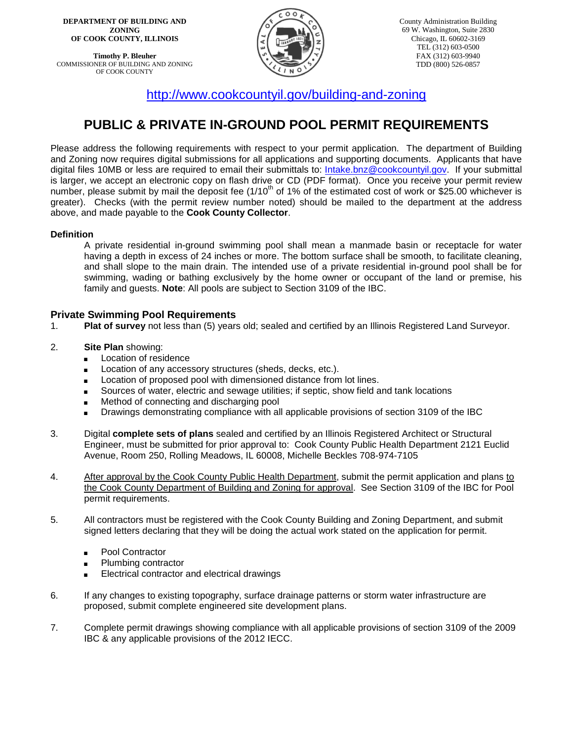**DEPARTMENT OF BUILDING AND ZONING OF COOK COUNTY, ILLINOIS**

**Timothy P. Bleuher** COMMISSIONER OF BUILDING AND ZONING OF COOK COUNTY



County Administration Building 69 W. Washington, Suite 2830 Chicago, IL 60602-3169 TEL (312) 603-0500 FAX (312) 603-9940 TDD (800) 526-0857

<http://www.cookcountyil.gov/building-and-zoning>

# **PUBLIC & PRIVATE IN-GROUND POOL PERMIT REQUIREMENTS**

Please address the following requirements with respect to your permit application. The department of Building and Zoning now requires digital submissions for all applications and supporting documents. Applicants that have digital files 10MB or less are required to email their submittals to: [Intake.bnz@cookcountyil.gov.](mailto:Intake.bnz@cookcountyil.gov) If your submittal is larger, we accept an electronic copy on flash drive or CD (PDF format). Once you receive your permit review number, please submit by mail the deposit fee  $(1/10<sup>th</sup>$  of 1% of the estimated cost of work or \$25.00 whichever is greater). Checks (with the permit review number noted) should be mailed to the department at the address above, and made payable to the **Cook County Collector**.

#### **Definition**

A private residential in-ground swimming pool shall mean a manmade basin or receptacle for water having a depth in excess of 24 inches or more. The bottom surface shall be smooth, to facilitate cleaning, and shall slope to the main drain. The intended use of a private residential in-ground pool shall be for swimming, wading or bathing exclusively by the home owner or occupant of the land or premise, his family and guests. **Note**: All pools are subject to Section 3109 of the IBC.

### **Private Swimming Pool Requirements**

- 1. **Plat of survey** not less than (5) years old; sealed and certified by an Illinois Registered Land Surveyor.
- 2. **Site Plan** showing:
	- **Exercise Location of residence**
	- **EXECUTE:** Location of any accessory structures (sheds, decks, etc.).
	- **EXECT** Location of proposed pool with dimensioned distance from lot lines.
	- **Sources of water, electric and sewage utilities; if septic, show field and tank locations**
	- Method of connecting and discharging pool
	- Drawings demonstrating compliance with all applicable provisions of section 3109 of the IBC
- 3. Digital **complete sets of plans** sealed and certified by an Illinois Registered Architect or Structural Engineer, must be submitted for prior approval to: Cook County Public Health Department 2121 Euclid Avenue, Room 250, Rolling Meadows, IL 60008, Michelle Beckles 708-974-7105
- 4. After approval by the Cook County Public Health Department, submit the permit application and plans to the Cook County Department of Building and Zoning for approval. See Section 3109 of the IBC for Pool permit requirements.
- 5. All contractors must be registered with the Cook County Building and Zoning Department, and submit signed letters declaring that they will be doing the actual work stated on the application for permit.
	- Pool Contractor
	- Plumbing contractor
	- Electrical contractor and electrical drawings
- 6. If any changes to existing topography, surface drainage patterns or storm water infrastructure are proposed, submit complete engineered site development plans.
- 7. Complete permit drawings showing compliance with all applicable provisions of section 3109 of the 2009 IBC & any applicable provisions of the 2012 IECC.